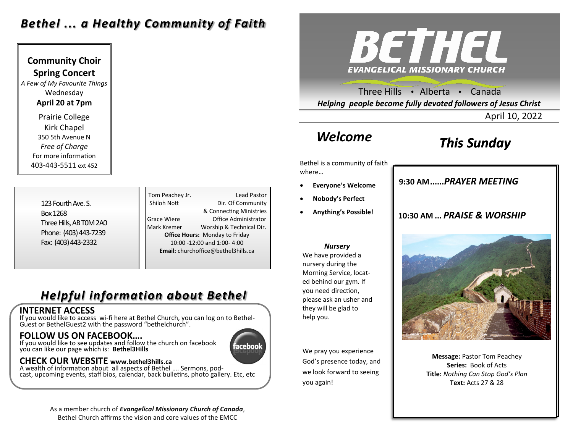# *Bethel ... a Healthy Community of Faith*

**Community Choir Spring Concert** *A Few of My Favourite Things* Wednesday **April 20 at 7pm** Prairie College Kirk Chapel 350 5th Avenue N *Free of Charge*  For more information 403-443-5511 ext 452

> 123 Fourth Ave. S. Box 1268 Three Hills, AB T0M 2A0 Phone: (403) 443-7239 Fax: (403) 443-2332

Tom Peachey Jr. **Lead Pastor** Shiloh Nott Dir. Of Community & Connecting Ministries Grace Wiens Office Administrator Mark Kremer Worship & Technical Dir. **Office Hours:** Monday to Friday 10:00 -12:00 and 1:00- 4:00 **Email:** churchoffice@bethel3hills.ca

# *Helpful information about Bethel*

### **INTERNET ACCESS**

If you would like to access wi-fi here at Bethel Church, you can log on to Bethel-Guest or BethelGuest2 with the password "bethelchurch".

### **FOLLOW US ON FACEBOOK….**

If you would like to see updates and follow the church on facebook you can like our page which is: **Bethel3Hills**

### **CHECK OUR WEBSITE www.bethel3hills.ca**

A wealth of information about all aspects of Bethel …. Sermons, podcast, upcoming events, staff bios, calendar, back bulletins, photo gallery. Etc, etc



Three Hills  $\rightarrow$  Alberta  $\rightarrow$  Canada *Helping people become fully devoted followers of Jesus Christ*

April 10, 2022

# *Welcome*

# *This Sunday*

Bethel is a community of faith where…

- **Everyone's Welcome**
- **Nobody's Perfect**
- **Anything's Possible!**

### *Nursery*

We have provided a nursery during the Morning Service, located behind our gym. If you need direction, please ask an usher and they will be glad to help you.

We pray you experience God's presence today, and we look forward to seeing you again!

## **9:30 AM......***SUNDAY SCHOOL* **9:30 AM......***PRAYER MEETING*

### **10:30 AM ...** *PRAISE & WORSHIP*



**Message:** Pastor Tom Peachey **Series:** Book of Acts **Title:** *Nothing Can Stop God's Plan* **Text:** Acts 27 & 28